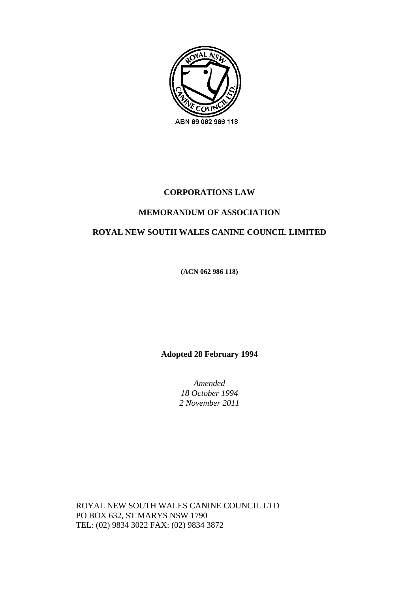

## **CORPORATIONS LAW**

## **MEMORANDUM OF ASSOCIATION**

## **ROYAL NEW SOUTH WALES CANINE COUNCIL LIMITED**

**(ACN 062 986 118)** 

**Adopted 28 February 1994** 

*Amended 18 October 1994 2 November 2011* 

ROYAL NEW SOUTH WALES CANINE COUNCIL LTD PO BOX 632, ST MARYS NSW 1790 TEL: (02) 9834 3022 FAX: (02) 9834 3872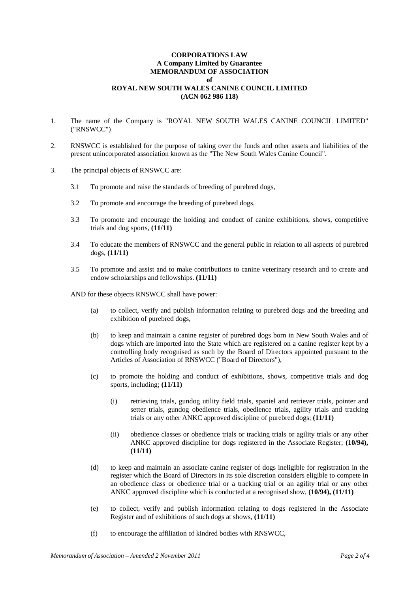## **CORPORATIONS LAW A Company Limited by Guarantee MEMORANDUM OF ASSOCIATION of ROYAL NEW SOUTH WALES CANINE COUNCIL LIMITED (ACN 062 986 118)**

- 1. The name of the Company is "ROYAL NEW SOUTH WALES CANINE COUNCIL LIMITED" ("RNSWCC")
- 2. RNSWCC is established for the purpose of taking over the funds and other assets and liabilities of the present unincorporated association known as the "The New South Wales Canine Council".
- 3. The principal objects of RNSWCC are:
	- 3.1 To promote and raise the standards of breeding of purebred dogs,
	- 3.2 To promote and encourage the breeding of purebred dogs,
	- 3.3 To promote and encourage the holding and conduct of canine exhibitions, shows, competitive trials and dog sports, **(11/11)**
	- 3.4 To educate the members of RNSWCC and the general public in relation to all aspects of purebred dogs, **(11/11)**
	- 3.5 To promote and assist and to make contributions to canine veterinary research and to create and endow scholarships and fellowships. **(11/11)**
	- AND for these objects RNSWCC shall have power:
		- (a) to collect, verify and publish information relating to purebred dogs and the breeding and exhibition of purebred dogs,
		- (b) to keep and maintain a canine register of purebred dogs born in New South Wales and of dogs which are imported into the State which are registered on a canine register kept by a controlling body recognised as such by the Board of Directors appointed pursuant to the Articles of Association of RNSWCC ("Board of Directors"),
		- (c) to promote the holding and conduct of exhibitions, shows, competitive trials and dog sports, including; **(11/11)**
			- (i) retrieving trials, gundog utility field trials, spaniel and retriever trials, pointer and setter trials, gundog obedience trials, obedience trials, agility trials and tracking trials or any other ANKC approved discipline of purebred dogs; **(11/11)**
			- (ii) obedience classes or obedience trials or tracking trials or agility trials or any other ANKC approved discipline for dogs registered in the Associate Register; **(10/94), (11/11)**
		- (d) to keep and maintain an associate canine register of dogs ineligible for registration in the register which the Board of Directors in its sole discretion considers eligible to compete in an obedience class or obedience trial or a tracking trial or an agility trial or any other ANKC approved discipline which is conducted at a recognised show, **(10/94), (11/11)**
		- (e) to collect, verify and publish information relating to dogs registered in the Associate Register and of exhibitions of such dogs at shows, **(11/11)**
		- (f) to encourage the affiliation of kindred bodies with RNSWCC,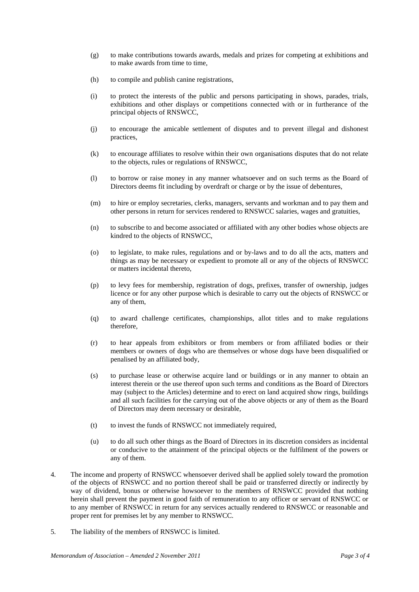- (g) to make contributions towards awards, medals and prizes for competing at exhibitions and to make awards from time to time,
- (h) to compile and publish canine registrations,
- (i) to protect the interests of the public and persons participating in shows, parades, trials, exhibitions and other displays or competitions connected with or in furtherance of the principal objects of RNSWCC,
- (j) to encourage the amicable settlement of disputes and to prevent illegal and dishonest practices,
- (k) to encourage affiliates to resolve within their own organisations disputes that do not relate to the objects, rules or regulations of RNSWCC,
- (l) to borrow or raise money in any manner whatsoever and on such terms as the Board of Directors deems fit including by overdraft or charge or by the issue of debentures,
- (m) to hire or employ secretaries, clerks, managers, servants and workman and to pay them and other persons in return for services rendered to RNSWCC salaries, wages and gratuities,
- (n) to subscribe to and become associated or affiliated with any other bodies whose objects are kindred to the objects of RNSWCC,
- (o) to legislate, to make rules, regulations and or by-laws and to do all the acts, matters and things as may be necessary or expedient to promote all or any of the objects of RNSWCC or matters incidental thereto,
- (p) to levy fees for membership, registration of dogs, prefixes, transfer of ownership, judges licence or for any other purpose which is desirable to carry out the objects of RNSWCC or any of them,
- (q) to award challenge certificates, championships, allot titles and to make regulations therefore,
- (r) to hear appeals from exhibitors or from members or from affiliated bodies or their members or owners of dogs who are themselves or whose dogs have been disqualified or penalised by an affiliated body,
- (s) to purchase lease or otherwise acquire land or buildings or in any manner to obtain an interest therein or the use thereof upon such terms and conditions as the Board of Directors may (subject to the Articles) determine and to erect on land acquired show rings, buildings and all such facilities for the carrying out of the above objects or any of them as the Board of Directors may deem necessary or desirable,
- (t) to invest the funds of RNSWCC not immediately required,
- (u) to do all such other things as the Board of Directors in its discretion considers as incidental or conducive to the attainment of the principal objects or the fulfilment of the powers or any of them.
- 4. The income and property of RNSWCC whensoever derived shall be applied solely toward the promotion of the objects of RNSWCC and no portion thereof shall be paid or transferred directly or indirectly by way of dividend, bonus or otherwise howsoever to the members of RNSWCC provided that nothing herein shall prevent the payment in good faith of remuneration to any officer or servant of RNSWCC or to any member of RNSWCC in return for any services actually rendered to RNSWCC or reasonable and proper rent for premises let by any member to RNSWCC.
- 5. The liability of the members of RNSWCC is limited.